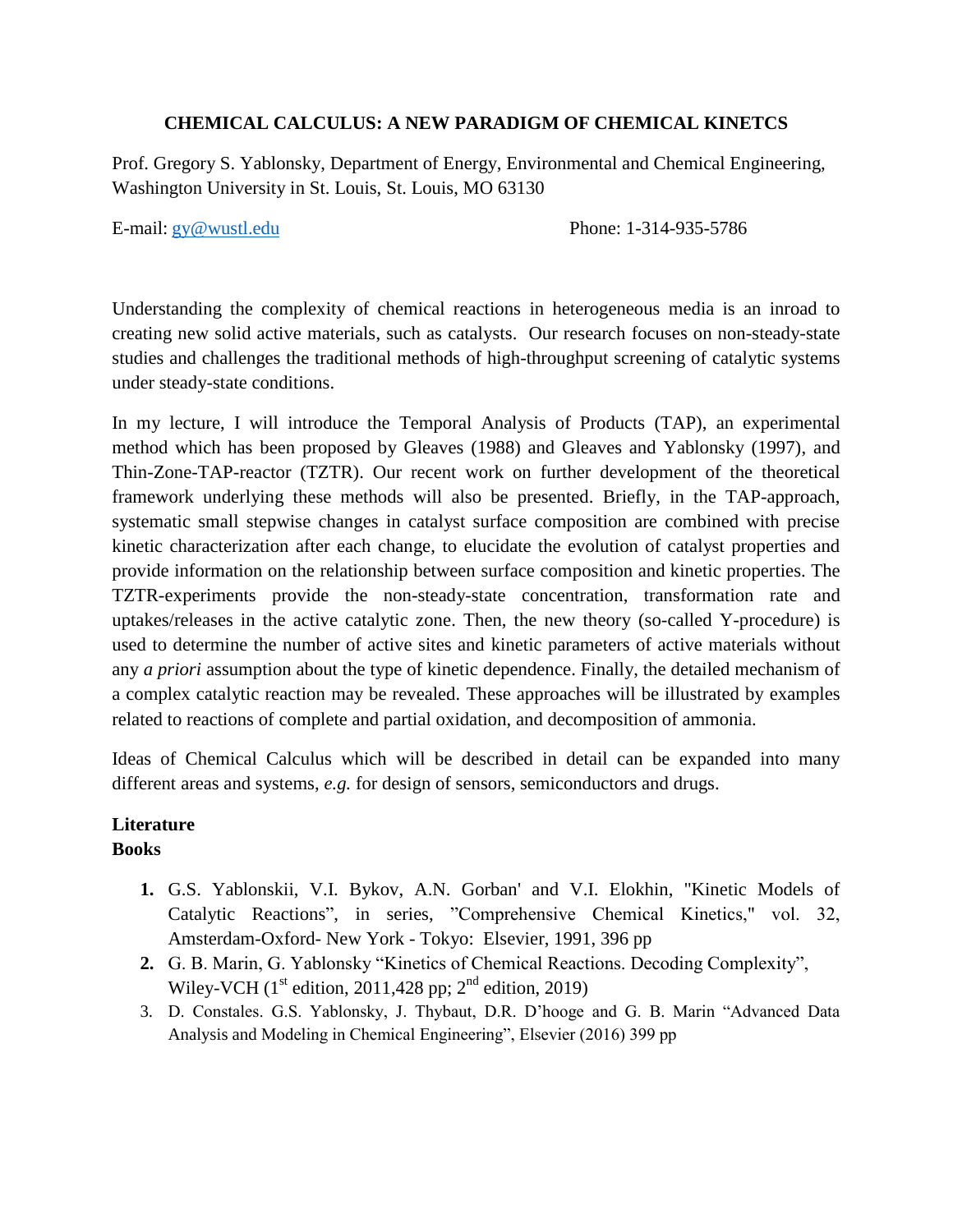### **CHEMICAL CALCULUS: A NEW PARADIGM OF CHEMICAL KINETCS**

Prof. Gregory S. Yablonsky, Department of Energy, Environmental and Chemical Engineering, Washington University in St. Louis, St. Louis, MO 63130

E-mail: [gy@wustl.edu](mailto:gy@wustl.edu) Phone: 1-314-935-5786

Understanding the complexity of chemical reactions in heterogeneous media is an inroad to creating new solid active materials, such as catalysts. Our research focuses on non-steady-state studies and challenges the traditional methods of high-throughput screening of catalytic systems under steady-state conditions.

In my lecture, I will introduce the Temporal Analysis of Products (TAP), an experimental method which has been proposed by Gleaves (1988) and Gleaves and Yablonsky (1997), and Thin-Zone-TAP-reactor (TZTR). Our recent work on further development of the theoretical framework underlying these methods will also be presented. Briefly, in the TAP-approach, systematic small stepwise changes in catalyst surface composition are combined with precise kinetic characterization after each change, to elucidate the evolution of catalyst properties and provide information on the relationship between surface composition and kinetic properties. The TZTR-experiments provide the non-steady-state concentration, transformation rate and uptakes/releases in the active catalytic zone. Then, the new theory (so-called Y-procedure) is used to determine the number of active sites and kinetic parameters of active materials without any *a priori* assumption about the type of kinetic dependence. Finally, the detailed mechanism of a complex catalytic reaction may be revealed. These approaches will be illustrated by examples related to reactions of complete and partial oxidation, and decomposition of ammonia.

Ideas of Chemical Calculus which will be described in detail can be expanded into many different areas and systems, *e.g.* for design of sensors, semiconductors and drugs.

#### **Literature Books**

- **1.** G.S. Yablonskii, V.I. Bykov, A.N. Gorban' and V.I. Elokhin, "Kinetic Models of Catalytic Reactions", in series, "Comprehensive Chemical Kinetics," vol. 32, Amsterdam-Oxford- New York - Tokyo: Elsevier, 1991, 396 pp
- **2.** G. B. Marin, G. Yablonsky "Kinetics of Chemical Reactions. Decoding Complexity", Wiley-VCH  $(1<sup>st</sup>$  edition, 2011,428 pp;  $2<sup>nd</sup>$  edition, 2019)
- 3. D. Constales. G.S. Yablonsky, J. Thybaut, D.R. D'hooge and G. B. Marin "Advanced Data Analysis and Modeling in Chemical Engineering", Elsevier (2016) 399 pp